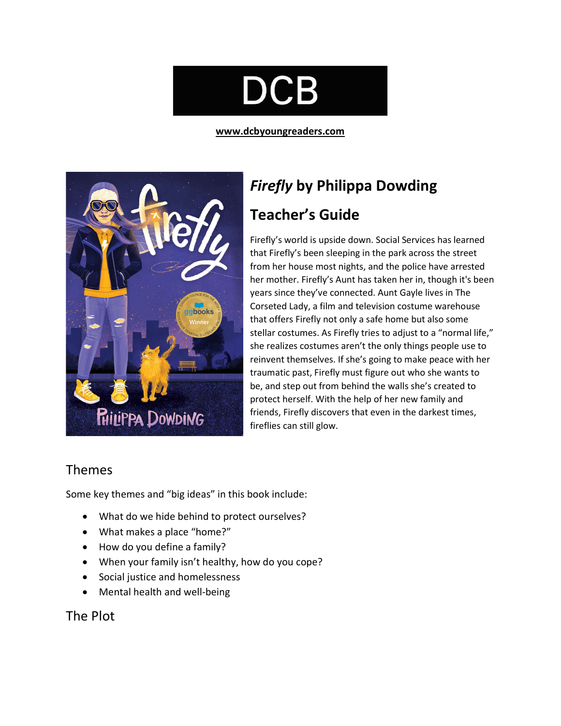

www.dcbyoungreaders.com



# Firefly by Philippa Dowding

# Teacher's Guide

Firefly's world is upside down. Social Services has learned that Firefly's been sleeping in the park across the street from her house most nights, and the police have arrested her mother. Firefly's Aunt has taken her in, though it's been years since they've connected. Aunt Gayle lives in The Corseted Lady, a film and television costume warehouse that offers Firefly not only a safe home but also some stellar costumes. As Firefly tries to adjust to a "normal life," she realizes costumes aren't the only things people use to reinvent themselves. If she's going to make peace with her traumatic past, Firefly must figure out who she wants to be, and step out from behind the walls she's created to protect herself. With the help of her new family and friends, Firefly discovers that even in the darkest times, fireflies can still glow.

# Themes

Some key themes and "big ideas" in this book include:

- What do we hide behind to protect ourselves?
- What makes a place "home?"
- How do you define a family?
- When your family isn't healthy, how do you cope?
- Social justice and homelessness
- Mental health and well-being

The Plot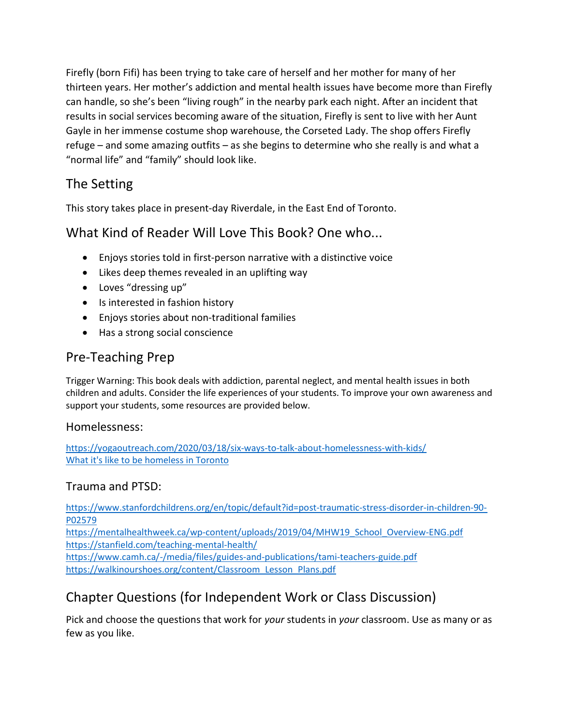Firefly (born Fifi) has been trying to take care of herself and her mother for many of her thirteen years. Her mother's addiction and mental health issues have become more than Firefly can handle, so she's been "living rough" in the nearby park each night. After an incident that results in social services becoming aware of the situation, Firefly is sent to live with her Aunt Gayle in her immense costume shop warehouse, the Corseted Lady. The shop offers Firefly refuge – and some amazing outfits – as she begins to determine who she really is and what a "normal life" and "family" should look like.

# The Setting

This story takes place in present-day Riverdale, in the East End of Toronto.

# What Kind of Reader Will Love This Book? One who...

- Enjoys stories told in first-person narrative with a distinctive voice
- Likes deep themes revealed in an uplifting way
- Loves "dressing up"
- Is interested in fashion history
- Enjoys stories about non-traditional families
- Has a strong social conscience

# Pre-Teaching Prep

Trigger Warning: This book deals with addiction, parental neglect, and mental health issues in both children and adults. Consider the life experiences of your students. To improve your own awareness and support your students, some resources are provided below.

## Homelessness:

https://yogaoutreach.com/2020/03/18/six-ways-to-talk-about-homelessness-with-kids/ What it's like to be homeless in Toronto

## Trauma and PTSD:

https://www.stanfordchildrens.org/en/topic/default?id=post-traumatic-stress-disorder-in-children-90- P02579 https://mentalhealthweek.ca/wp-content/uploads/2019/04/MHW19\_School\_Overview-ENG.pdf https://stanfield.com/teaching-mental-health/ https://www.camh.ca/-/media/files/guides-and-publications/tami-teachers-guide.pdf https://walkinourshoes.org/content/Classroom\_Lesson\_Plans.pdf

# Chapter Questions (for Independent Work or Class Discussion)

Pick and choose the questions that work for your students in your classroom. Use as many or as few as you like.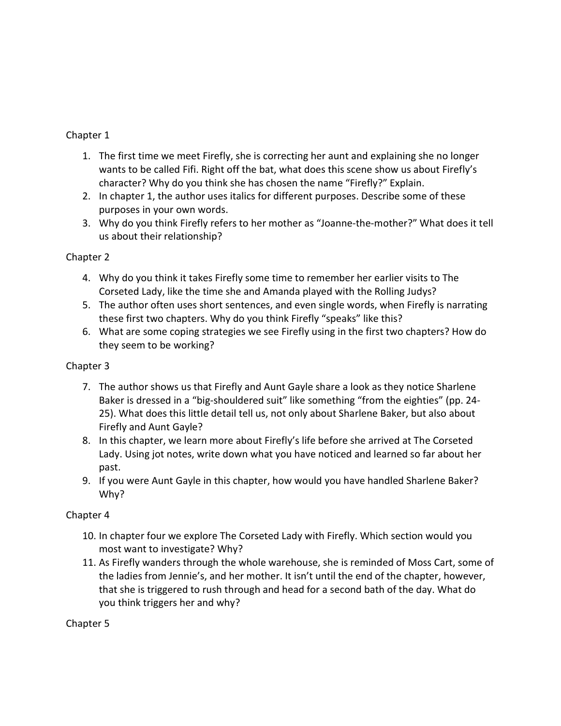#### Chapter 1

- 1. The first time we meet Firefly, she is correcting her aunt and explaining she no longer wants to be called Fifi. Right off the bat, what does this scene show us about Firefly's character? Why do you think she has chosen the name "Firefly?" Explain.
- 2. In chapter 1, the author uses italics for different purposes. Describe some of these purposes in your own words.
- 3. Why do you think Firefly refers to her mother as "Joanne-the-mother?" What does it tell us about their relationship?

#### Chapter 2

- 4. Why do you think it takes Firefly some time to remember her earlier visits to The Corseted Lady, like the time she and Amanda played with the Rolling Judys?
- 5. The author often uses short sentences, and even single words, when Firefly is narrating these first two chapters. Why do you think Firefly "speaks" like this?
- 6. What are some coping strategies we see Firefly using in the first two chapters? How do they seem to be working?

#### Chapter 3

- 7. The author shows us that Firefly and Aunt Gayle share a look as they notice Sharlene Baker is dressed in a "big-shouldered suit" like something "from the eighties" (pp. 24- 25). What does this little detail tell us, not only about Sharlene Baker, but also about Firefly and Aunt Gayle?
- 8. In this chapter, we learn more about Firefly's life before she arrived at The Corseted Lady. Using jot notes, write down what you have noticed and learned so far about her past.
- 9. If you were Aunt Gayle in this chapter, how would you have handled Sharlene Baker? Why?

#### Chapter 4

- 10. In chapter four we explore The Corseted Lady with Firefly. Which section would you most want to investigate? Why?
- 11. As Firefly wanders through the whole warehouse, she is reminded of Moss Cart, some of the ladies from Jennie's, and her mother. It isn't until the end of the chapter, however, that she is triggered to rush through and head for a second bath of the day. What do you think triggers her and why?

Chapter 5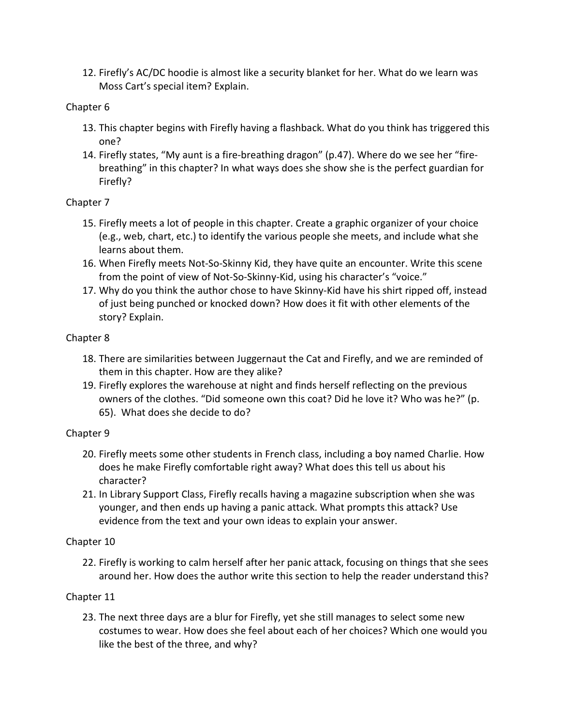12. Firefly's AC/DC hoodie is almost like a security blanket for her. What do we learn was Moss Cart's special item? Explain.

#### Chapter 6

- 13. This chapter begins with Firefly having a flashback. What do you think has triggered this one?
- 14. Firefly states, "My aunt is a fire-breathing dragon" (p.47). Where do we see her "firebreathing" in this chapter? In what ways does she show she is the perfect guardian for Firefly?

#### Chapter 7

- 15. Firefly meets a lot of people in this chapter. Create a graphic organizer of your choice (e.g., web, chart, etc.) to identify the various people she meets, and include what she learns about them.
- 16. When Firefly meets Not-So-Skinny Kid, they have quite an encounter. Write this scene from the point of view of Not-So-Skinny-Kid, using his character's "voice."
- 17. Why do you think the author chose to have Skinny-Kid have his shirt ripped off, instead of just being punched or knocked down? How does it fit with other elements of the story? Explain.

#### Chapter 8

- 18. There are similarities between Juggernaut the Cat and Firefly, and we are reminded of them in this chapter. How are they alike?
- 19. Firefly explores the warehouse at night and finds herself reflecting on the previous owners of the clothes. "Did someone own this coat? Did he love it? Who was he?" (p. 65). What does she decide to do?

#### Chapter 9

- 20. Firefly meets some other students in French class, including a boy named Charlie. How does he make Firefly comfortable right away? What does this tell us about his character?
- 21. In Library Support Class, Firefly recalls having a magazine subscription when she was younger, and then ends up having a panic attack. What prompts this attack? Use evidence from the text and your own ideas to explain your answer.

#### Chapter 10

22. Firefly is working to calm herself after her panic attack, focusing on things that she sees around her. How does the author write this section to help the reader understand this?

#### Chapter 11

23. The next three days are a blur for Firefly, yet she still manages to select some new costumes to wear. How does she feel about each of her choices? Which one would you like the best of the three, and why?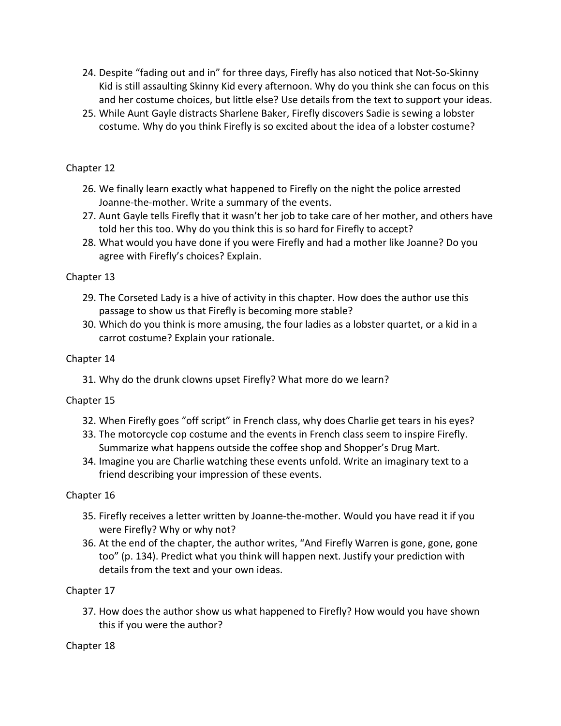- 24. Despite "fading out and in" for three days, Firefly has also noticed that Not-So-Skinny Kid is still assaulting Skinny Kid every afternoon. Why do you think she can focus on this and her costume choices, but little else? Use details from the text to support your ideas.
- 25. While Aunt Gayle distracts Sharlene Baker, Firefly discovers Sadie is sewing a lobster costume. Why do you think Firefly is so excited about the idea of a lobster costume?

#### Chapter 12

- 26. We finally learn exactly what happened to Firefly on the night the police arrested Joanne-the-mother. Write a summary of the events.
- 27. Aunt Gayle tells Firefly that it wasn't her job to take care of her mother, and others have told her this too. Why do you think this is so hard for Firefly to accept?
- 28. What would you have done if you were Firefly and had a mother like Joanne? Do you agree with Firefly's choices? Explain.

#### Chapter 13

- 29. The Corseted Lady is a hive of activity in this chapter. How does the author use this passage to show us that Firefly is becoming more stable?
- 30. Which do you think is more amusing, the four ladies as a lobster quartet, or a kid in a carrot costume? Explain your rationale.

#### Chapter 14

31. Why do the drunk clowns upset Firefly? What more do we learn?

#### Chapter 15

- 32. When Firefly goes "off script" in French class, why does Charlie get tears in his eyes?
- 33. The motorcycle cop costume and the events in French class seem to inspire Firefly. Summarize what happens outside the coffee shop and Shopper's Drug Mart.
- 34. Imagine you are Charlie watching these events unfold. Write an imaginary text to a friend describing your impression of these events.

#### Chapter 16

- 35. Firefly receives a letter written by Joanne-the-mother. Would you have read it if you were Firefly? Why or why not?
- 36. At the end of the chapter, the author writes, "And Firefly Warren is gone, gone, gone too" (p. 134). Predict what you think will happen next. Justify your prediction with details from the text and your own ideas.

#### Chapter 17

37. How does the author show us what happened to Firefly? How would you have shown this if you were the author?

Chapter 18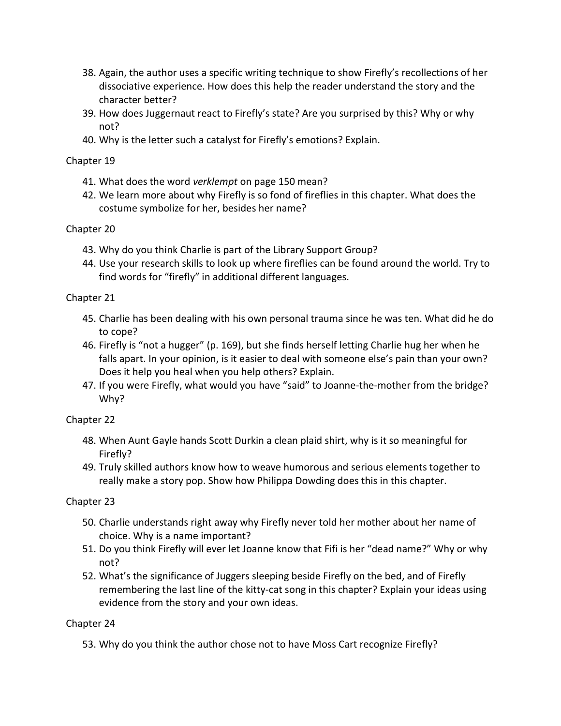- 38. Again, the author uses a specific writing technique to show Firefly's recollections of her dissociative experience. How does this help the reader understand the story and the character better?
- 39. How does Juggernaut react to Firefly's state? Are you surprised by this? Why or why not?
- 40. Why is the letter such a catalyst for Firefly's emotions? Explain.

#### Chapter 19

- 41. What does the word verklempt on page 150 mean?
- 42. We learn more about why Firefly is so fond of fireflies in this chapter. What does the costume symbolize for her, besides her name?

#### Chapter 20

- 43. Why do you think Charlie is part of the Library Support Group?
- 44. Use your research skills to look up where fireflies can be found around the world. Try to find words for "firefly" in additional different languages.

#### Chapter 21

- 45. Charlie has been dealing with his own personal trauma since he was ten. What did he do to cope?
- 46. Firefly is "not a hugger" (p. 169), but she finds herself letting Charlie hug her when he falls apart. In your opinion, is it easier to deal with someone else's pain than your own? Does it help you heal when you help others? Explain.
- 47. If you were Firefly, what would you have "said" to Joanne-the-mother from the bridge? Why?

#### Chapter 22

- 48. When Aunt Gayle hands Scott Durkin a clean plaid shirt, why is it so meaningful for Firefly?
- 49. Truly skilled authors know how to weave humorous and serious elements together to really make a story pop. Show how Philippa Dowding does this in this chapter.

#### Chapter 23

- 50. Charlie understands right away why Firefly never told her mother about her name of choice. Why is a name important?
- 51. Do you think Firefly will ever let Joanne know that Fifi is her "dead name?" Why or why not?
- 52. What's the significance of Juggers sleeping beside Firefly on the bed, and of Firefly remembering the last line of the kitty-cat song in this chapter? Explain your ideas using evidence from the story and your own ideas.

#### Chapter 24

53. Why do you think the author chose not to have Moss Cart recognize Firefly?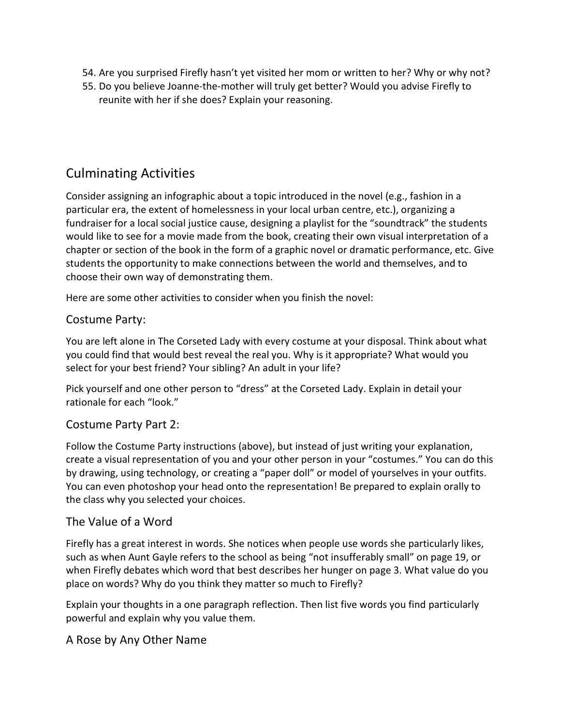- 54. Are you surprised Firefly hasn't yet visited her mom or written to her? Why or why not?
- 55. Do you believe Joanne-the-mother will truly get better? Would you advise Firefly to reunite with her if she does? Explain your reasoning.

# Culminating Activities

Consider assigning an infographic about a topic introduced in the novel (e.g., fashion in a particular era, the extent of homelessness in your local urban centre, etc.), organizing a fundraiser for a local social justice cause, designing a playlist for the "soundtrack" the students would like to see for a movie made from the book, creating their own visual interpretation of a chapter or section of the book in the form of a graphic novel or dramatic performance, etc. Give students the opportunity to make connections between the world and themselves, and to choose their own way of demonstrating them.

Here are some other activities to consider when you finish the novel:

### Costume Party:

You are left alone in The Corseted Lady with every costume at your disposal. Think about what you could find that would best reveal the real you. Why is it appropriate? What would you select for your best friend? Your sibling? An adult in your life?

Pick yourself and one other person to "dress" at the Corseted Lady. Explain in detail your rationale for each "look."

## Costume Party Part 2:

Follow the Costume Party instructions (above), but instead of just writing your explanation, create a visual representation of you and your other person in your "costumes." You can do this by drawing, using technology, or creating a "paper doll" or model of yourselves in your outfits. You can even photoshop your head onto the representation! Be prepared to explain orally to the class why you selected your choices.

#### The Value of a Word

Firefly has a great interest in words. She notices when people use words she particularly likes, such as when Aunt Gayle refers to the school as being "not insufferably small" on page 19, or when Firefly debates which word that best describes her hunger on page 3. What value do you place on words? Why do you think they matter so much to Firefly?

Explain your thoughts in a one paragraph reflection. Then list five words you find particularly powerful and explain why you value them.

## A Rose by Any Other Name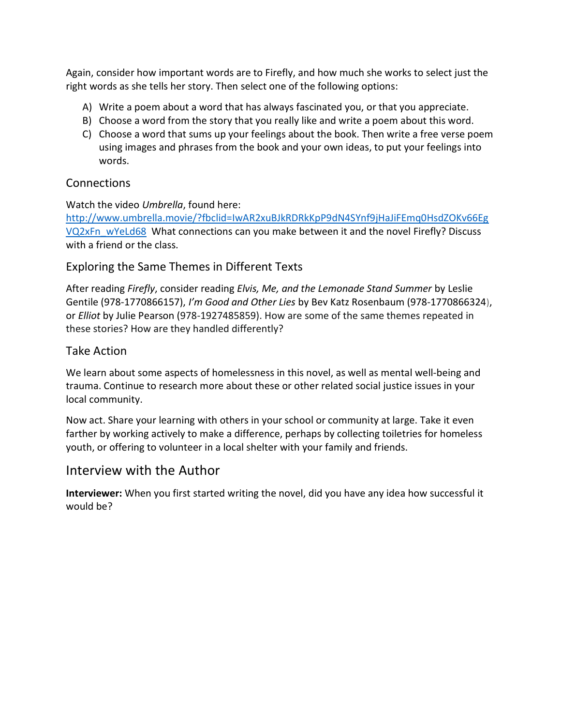Again, consider how important words are to Firefly, and how much she works to select just the right words as she tells her story. Then select one of the following options:

- A) Write a poem about a word that has always fascinated you, or that you appreciate.
- B) Choose a word from the story that you really like and write a poem about this word.
- C) Choose a word that sums up your feelings about the book. Then write a free verse poem using images and phrases from the book and your own ideas, to put your feelings into words.

#### **Connections**

#### Watch the video Umbrella, found here:

http://www.umbrella.movie/?fbclid=IwAR2xuBJkRDRkKpP9dN4SYnf9jHaJiFEmq0HsdZOKv66Eg VQ2xFn\_wYeLd68 What connections can you make between it and the novel Firefly? Discuss with a friend or the class.

#### Exploring the Same Themes in Different Texts

After reading Firefly, consider reading Elvis, Me, and the Lemonade Stand Summer by Leslie Gentile (978-1770866157), I'm Good and Other Lies by Bev Katz Rosenbaum (978-1770866324), or Elliot by Julie Pearson (978-1927485859). How are some of the same themes repeated in these stories? How are they handled differently?

#### Take Action

We learn about some aspects of homelessness in this novel, as well as mental well-being and trauma. Continue to research more about these or other related social justice issues in your local community.

Now act. Share your learning with others in your school or community at large. Take it even farther by working actively to make a difference, perhaps by collecting toiletries for homeless youth, or offering to volunteer in a local shelter with your family and friends.

## Interview with the Author

Interviewer: When you first started writing the novel, did you have any idea how successful it would be?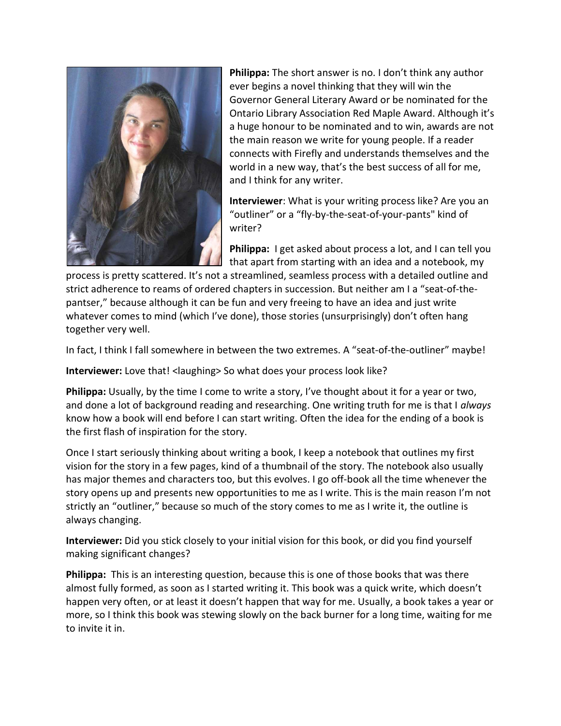

Philippa: The short answer is no. I don't think any author ever begins a novel thinking that they will win the Governor General Literary Award or be nominated for the Ontario Library Association Red Maple Award. Although it's a huge honour to be nominated and to win, awards are not the main reason we write for young people. If a reader connects with Firefly and understands themselves and the world in a new way, that's the best success of all for me, and I think for any writer.

Interviewer: What is your writing process like? Are you an "outliner" or a "fly-by-the-seat-of-your-pants" kind of writer?

Philippa: I get asked about process a lot, and I can tell you that apart from starting with an idea and a notebook, my

process is pretty scattered. It's not a streamlined, seamless process with a detailed outline and strict adherence to reams of ordered chapters in succession. But neither am I a "seat-of-thepantser," because although it can be fun and very freeing to have an idea and just write whatever comes to mind (which I've done), those stories (unsurprisingly) don't often hang together very well.

In fact, I think I fall somewhere in between the two extremes. A "seat-of-the-outliner" maybe!

Interviewer: Love that! < laughing> So what does your process look like?

Philippa: Usually, by the time I come to write a story, I've thought about it for a year or two, and done a lot of background reading and researching. One writing truth for me is that I always know how a book will end before I can start writing. Often the idea for the ending of a book is the first flash of inspiration for the story.

Once I start seriously thinking about writing a book, I keep a notebook that outlines my first vision for the story in a few pages, kind of a thumbnail of the story. The notebook also usually has major themes and characters too, but this evolves. I go off-book all the time whenever the story opens up and presents new opportunities to me as I write. This is the main reason I'm not strictly an "outliner," because so much of the story comes to me as I write it, the outline is always changing.

Interviewer: Did you stick closely to your initial vision for this book, or did you find yourself making significant changes?

Philippa: This is an interesting question, because this is one of those books that was there almost fully formed, as soon as I started writing it. This book was a quick write, which doesn't happen very often, or at least it doesn't happen that way for me. Usually, a book takes a year or more, so I think this book was stewing slowly on the back burner for a long time, waiting for me to invite it in.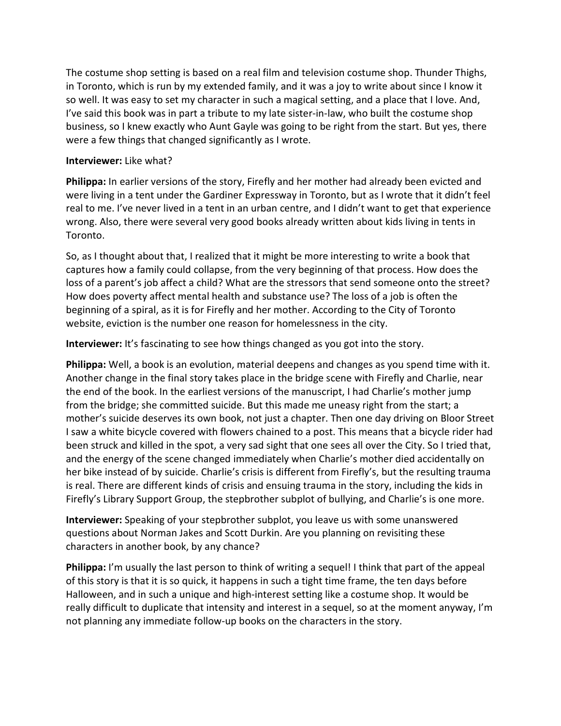The costume shop setting is based on a real film and television costume shop. Thunder Thighs, in Toronto, which is run by my extended family, and it was a joy to write about since I know it so well. It was easy to set my character in such a magical setting, and a place that I love. And, I've said this book was in part a tribute to my late sister-in-law, who built the costume shop business, so I knew exactly who Aunt Gayle was going to be right from the start. But yes, there were a few things that changed significantly as I wrote.

#### Interviewer: Like what?

Philippa: In earlier versions of the story, Firefly and her mother had already been evicted and were living in a tent under the Gardiner Expressway in Toronto, but as I wrote that it didn't feel real to me. I've never lived in a tent in an urban centre, and I didn't want to get that experience wrong. Also, there were several very good books already written about kids living in tents in Toronto.

So, as I thought about that, I realized that it might be more interesting to write a book that captures how a family could collapse, from the very beginning of that process. How does the loss of a parent's job affect a child? What are the stressors that send someone onto the street? How does poverty affect mental health and substance use? The loss of a job is often the beginning of a spiral, as it is for Firefly and her mother. According to the City of Toronto website, eviction is the number one reason for homelessness in the city.

Interviewer: It's fascinating to see how things changed as you got into the story.

Philippa: Well, a book is an evolution, material deepens and changes as you spend time with it. Another change in the final story takes place in the bridge scene with Firefly and Charlie, near the end of the book. In the earliest versions of the manuscript, I had Charlie's mother jump from the bridge; she committed suicide. But this made me uneasy right from the start; a mother's suicide deserves its own book, not just a chapter. Then one day driving on Bloor Street I saw a white bicycle covered with flowers chained to a post. This means that a bicycle rider had been struck and killed in the spot, a very sad sight that one sees all over the City. So I tried that, and the energy of the scene changed immediately when Charlie's mother died accidentally on her bike instead of by suicide. Charlie's crisis is different from Firefly's, but the resulting trauma is real. There are different kinds of crisis and ensuing trauma in the story, including the kids in Firefly's Library Support Group, the stepbrother subplot of bullying, and Charlie's is one more.

Interviewer: Speaking of your stepbrother subplot, you leave us with some unanswered questions about Norman Jakes and Scott Durkin. Are you planning on revisiting these characters in another book, by any chance?

Philippa: I'm usually the last person to think of writing a sequel! I think that part of the appeal of this story is that it is so quick, it happens in such a tight time frame, the ten days before Halloween, and in such a unique and high-interest setting like a costume shop. It would be really difficult to duplicate that intensity and interest in a sequel, so at the moment anyway, I'm not planning any immediate follow-up books on the characters in the story.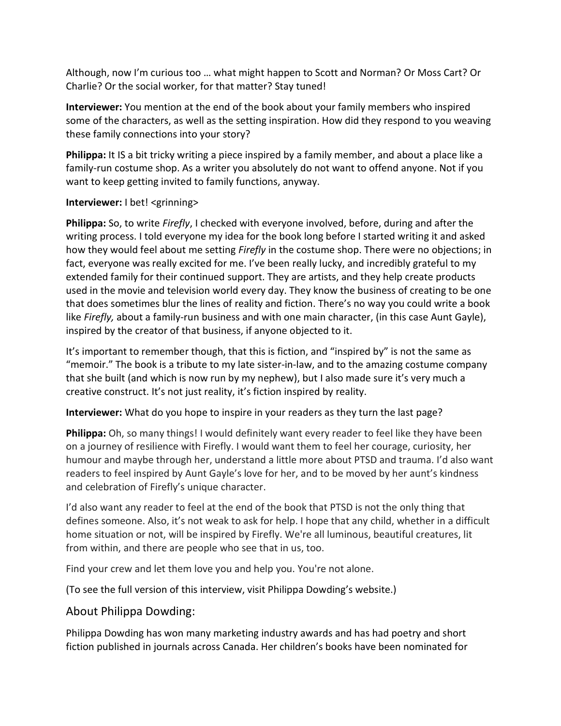Although, now I'm curious too … what might happen to Scott and Norman? Or Moss Cart? Or Charlie? Or the social worker, for that matter? Stay tuned!

Interviewer: You mention at the end of the book about your family members who inspired some of the characters, as well as the setting inspiration. How did they respond to you weaving these family connections into your story?

Philippa: It IS a bit tricky writing a piece inspired by a family member, and about a place like a family-run costume shop. As a writer you absolutely do not want to offend anyone. Not if you want to keep getting invited to family functions, anyway.

#### Interviewer: I bet! <grinning>

Philippa: So, to write *Firefly*, I checked with everyone involved, before, during and after the writing process. I told everyone my idea for the book long before I started writing it and asked how they would feel about me setting *Firefly* in the costume shop. There were no objections; in fact, everyone was really excited for me. I've been really lucky, and incredibly grateful to my extended family for their continued support. They are artists, and they help create products used in the movie and television world every day. They know the business of creating to be one that does sometimes blur the lines of reality and fiction. There's no way you could write a book like Firefly, about a family-run business and with one main character, (in this case Aunt Gayle), inspired by the creator of that business, if anyone objected to it.

It's important to remember though, that this is fiction, and "inspired by" is not the same as "memoir." The book is a tribute to my late sister-in-law, and to the amazing costume company that she built (and which is now run by my nephew), but I also made sure it's very much a creative construct. It's not just reality, it's fiction inspired by reality.

Interviewer: What do you hope to inspire in your readers as they turn the last page?

Philippa: Oh, so many things! I would definitely want every reader to feel like they have been on a journey of resilience with Firefly. I would want them to feel her courage, curiosity, her humour and maybe through her, understand a little more about PTSD and trauma. I'd also want readers to feel inspired by Aunt Gayle's love for her, and to be moved by her aunt's kindness and celebration of Firefly's unique character.

I'd also want any reader to feel at the end of the book that PTSD is not the only thing that defines someone. Also, it's not weak to ask for help. I hope that any child, whether in a difficult home situation or not, will be inspired by Firefly. We're all luminous, beautiful creatures, lit from within, and there are people who see that in us, too.

Find your crew and let them love you and help you. You're not alone.

(To see the full version of this interview, visit Philippa Dowding's website.)

## About Philippa Dowding:

Philippa Dowding has won many marketing industry awards and has had poetry and short fiction published in journals across Canada. Her children's books have been nominated for